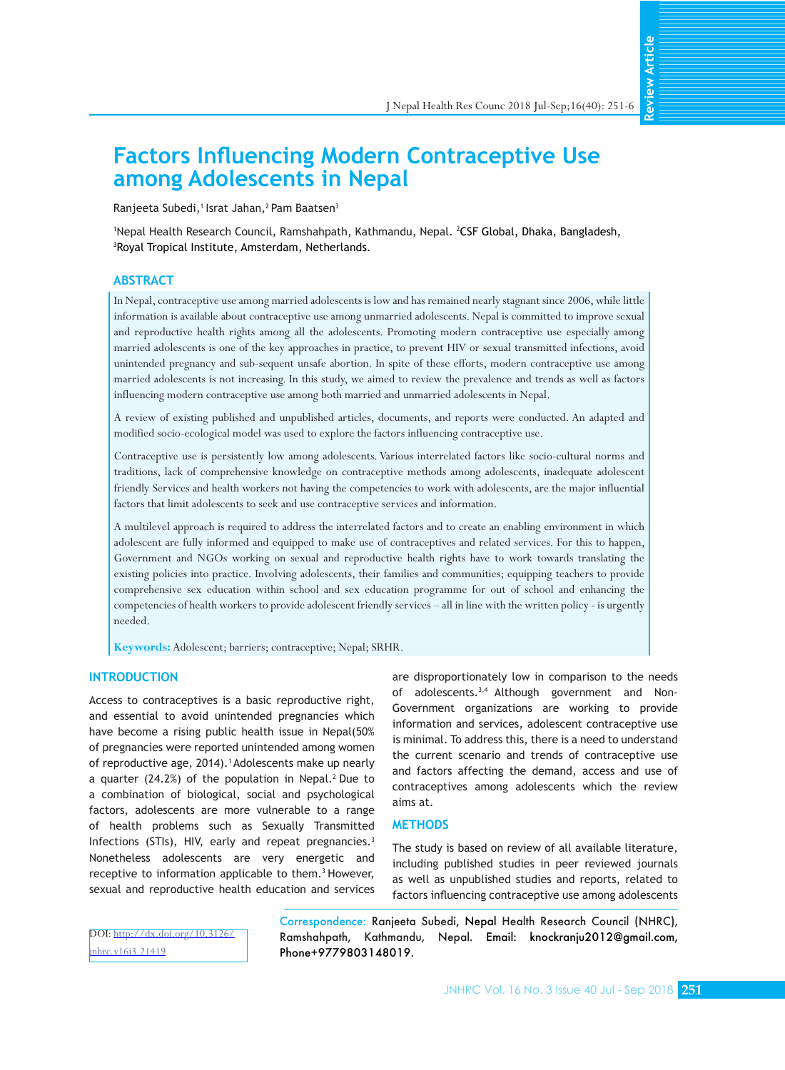**Review Article** Review Article

# **Factors Influencing Modern Contraceptive Use among Adolescents in Nepal**

Ranjeeta Subedi,<sup>1</sup> Israt Jahan,<sup>2</sup> Pam Baatsen<sup>3</sup>

1 Nepal Health Research Council, Ramshahpath, Kathmandu, Nepal. <sup>2</sup> CSF Global, Dhaka, Bangladesh, 3 Royal Tropical Institute, Amsterdam, Netherlands.

# **ABSTRACT**

In Nepal, contraceptive use among married adolescents is low and has remained nearly stagnant since 2006, while little information is available about contraceptive use among unmarried adolescents. Nepal is committed to improve sexual and reproductive health rights among all the adolescents. Promoting modern contraceptive use especially among married adolescents is one of the key approaches in practice, to prevent HIV or sexual transmitted infections, avoid unintended pregnancy and sub-sequent unsafe abortion. In spite of these efforts, modern contraceptive use among married adolescents is not increasing. In this study, we aimed to review the prevalence and trends as well as factors influencing modern contraceptive use among both married and unmarried adolescents in Nepal.

A review of existing published and unpublished articles, documents, and reports were conducted. An adapted and modified socio-ecological model was used to explore the factors influencing contraceptive use.

Contraceptive use is persistently low among adolescents. Various interrelated factors like socio-cultural norms and traditions, lack of comprehensive knowledge on contraceptive methods among adolescents, inadequate adolescent friendly Services and health workers not having the competencies to work with adolescents, are the major influential factors that limit adolescents to seek and use contraceptive services and information.

A multilevel approach is required to address the interrelated factors and to create an enabling environment in which adolescent are fully informed and equipped to make use of contraceptives and related services. For this to happen, Government and NGOs working on sexual and reproductive health rights have to work towards translating the existing policies into practice. Involving adolescents, their families and communities; equipping teachers to provide comprehensive sex education within school and sex education programme for out of school and enhancing the competencies of health workers to provide adolescent friendly services – all in line with the written policy - is urgently needed.

**Keywords:** Adolescent; barriers; contraceptive; Nepal; SRHR.

# **INTRODUCTION**

Access to contraceptives is a basic reproductive right, and essential to avoid unintended pregnancies which have become a rising public health issue in Nepal(50% of pregnancies were reported unintended among women of reproductive age, 2014).<sup>1</sup> Adolescents make up nearly a quarter  $(24.2%)$  of the population in Nepal.<sup>2</sup> Due to a combination of biological, social and psychological factors, adolescents are more vulnerable to a range of health problems such as Sexually Transmitted Infections (STIs), HIV, early and repeat pregnancies.<sup>3</sup> Nonetheless adolescents are very energetic and receptive to information applicable to them.<sup>3</sup> However, sexual and reproductive health education and services are disproportionately low in comparison to the needs of adolescents.3,4 Although government and Non-Government organizations are working to provide information and services, adolescent contraceptive use is minimal. To address this, there is a need to understand the current scenario and trends of contraceptive use and factors affecting the demand, access and use of contraceptives among adolescents which the review aims at.

# **METHODS**

The study is based on review of all available literature, including published studies in peer reviewed journals as well as unpublished studies and reports, related to factors influencing contraceptive use among adolescents

DOI: [http://dx.doi.org/10.3126/](http://dx.doi.org/10.3126/jnhrc.v16i3.21419) [jnhrc.v16i3.21419](http://dx.doi.org/10.3126/jnhrc.v16i3.21419)

Correspondence: Ranjeeta Subedi, Nepal Health Research Council (NHRC), Ramshahpath, Kathmandu, Nepal. Email: knockranju2012@gmail.com, Phone+9779803148019.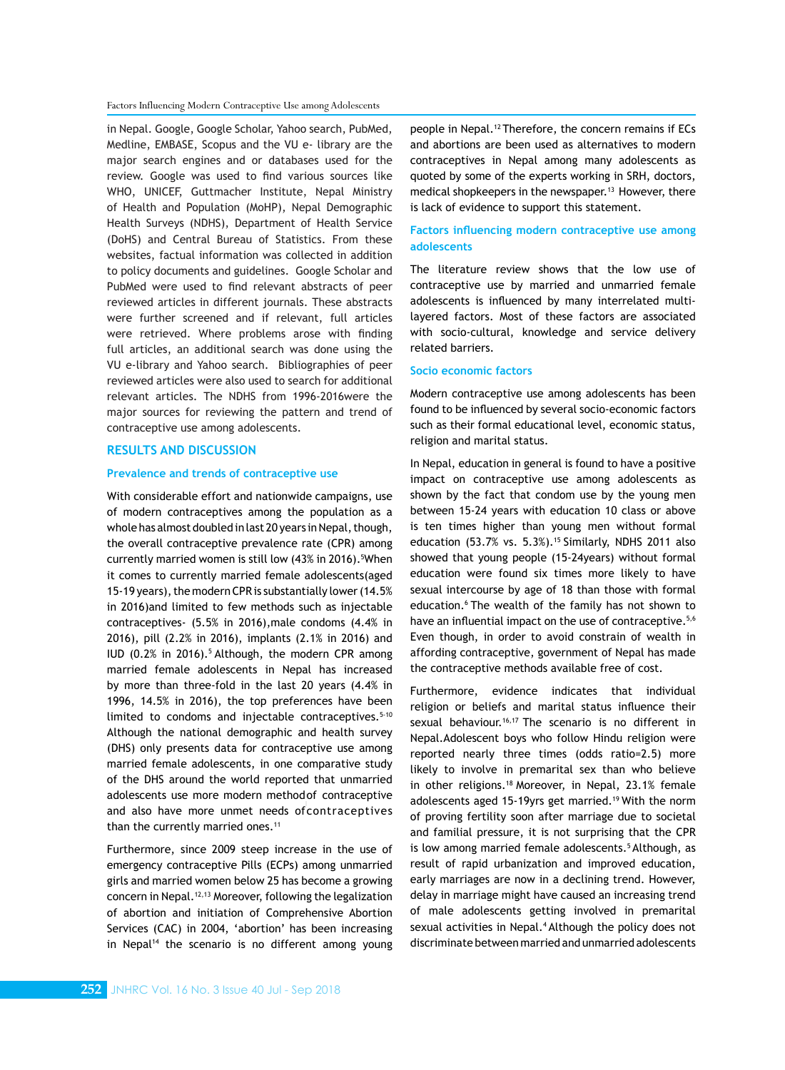## Factors Influencing Modern Contraceptive Use among Adolescents

in Nepal. Google, Google Scholar, Yahoo search, PubMed, Medline, EMBASE, Scopus and the VU e- library are the major search engines and or databases used for the review. Google was used to find various sources like WHO, UNICEF, Guttmacher Institute, Nepal Ministry of Health and Population (MoHP), Nepal Demographic Health Surveys (NDHS), Department of Health Service (DoHS) and Central Bureau of Statistics. From these websites, factual information was collected in addition to policy documents and guidelines. Google Scholar and PubMed were used to find relevant abstracts of peer reviewed articles in different journals. These abstracts were further screened and if relevant, full articles were retrieved. Where problems arose with finding full articles, an additional search was done using the VU e-library and Yahoo search. Bibliographies of peer reviewed articles were also used to search for additional relevant articles. The NDHS from 1996-2016were the major sources for reviewing the pattern and trend of contraceptive use among adolescents.

# **RESULTS AND DISCUSSION**

#### **Prevalence and trends of contraceptive use**

With considerable effort and nationwide campaigns, use of modern contraceptives among the population as a whole has almost doubled in last 20 years in Nepal, though, the overall contraceptive prevalence rate (CPR) among currently married women is still low (43% in 2016).<sup>5</sup>When it comes to currently married female adolescents(aged 15-19 years), the modern CPR is substantially lower (14.5% in 2016)and limited to few methods such as injectable contraceptives- (5.5% in 2016),male condoms (4.4% in 2016), pill (2.2% in 2016), implants (2.1% in 2016) and IUD (0.2% in 2016).<sup>5</sup> Although, the modern CPR among married female adolescents in Nepal has increased by more than three-fold in the last 20 years (4.4% in 1996, 14.5% in 2016), the top preferences have been limited to condoms and injectable contraceptives.5-10 Although the national demographic and health survey (DHS) only presents data for contraceptive use among married female adolescents, in one comparative study of the DHS around the world reported that unmarried adolescents use more modern method of contraceptive and also have more unmet needs of contraceptives than the currently married ones.<sup>11</sup>

Furthermore, since 2009 steep increase in the use of emergency contraceptive Pills (ECPs) among unmarried girls and married women below 25 has become a growing concern in Nepal.12,13 Moreover, following the legalization of abortion and initiation of Comprehensive Abortion Services (CAC) in 2004, 'abortion' has been increasing in Nepal<sup>14</sup> the scenario is no different among young people in Nepal.<sup>12</sup>Therefore, the concern remains if ECs and abortions are been used as alternatives to modern contraceptives in Nepal among many adolescents as quoted by some of the experts working in SRH, doctors, medical shopkeepers in the newspaper.<sup>13</sup> However, there is lack of evidence to support this statement.

## **Factors influencing modern contraceptive use among adolescents**

The literature review shows that the low use of contraceptive use by married and unmarried female adolescents is influenced by many interrelated multilayered factors. Most of these factors are associated with socio-cultural, knowledge and service delivery related barriers.

#### **Socio economic factors**

Modern contraceptive use among adolescents has been found to be influenced by several socio-economic factors such as their formal educational level, economic status, religion and marital status.

In Nepal, education in general is found to have a positive impact on contraceptive use among adolescents as shown by the fact that condom use by the young men between 15-24 years with education 10 class or above is ten times higher than young men without formal education  $(53.7\% \text{ vs. } 5.3\%).$ <sup>15</sup> Similarly, NDHS 2011 also showed that young people (15-24years) without formal education were found six times more likely to have sexual intercourse by age of 18 than those with formal education.<sup>6</sup> The wealth of the family has not shown to have an influential impact on the use of contraceptive.<sup>5,6</sup> Even though, in order to avoid constrain of wealth in affording contraceptive, government of Nepal has made the contraceptive methods available free of cost.

Furthermore, evidence indicates that individual religion or beliefs and marital status influence their sexual behaviour.<sup>16,17</sup> The scenario is no different in Nepal.Adolescent boys who follow Hindu religion were reported nearly three times (odds ratio=2.5) more likely to involve in premarital sex than who believe in other religions.<sup>18</sup> Moreover, in Nepal, 23.1% female adolescents aged 15-19yrs get married.<sup>19</sup> With the norm of proving fertility soon after marriage due to societal and familial pressure, it is not surprising that the CPR is low among married female adolescents.<sup>5</sup> Although, as result of rapid urbanization and improved education, early marriages are now in a declining trend. However, delay in marriage might have caused an increasing trend of male adolescents getting involved in premarital sexual activities in Nepal.<sup>4</sup> Although the policy does not discriminate between married and unmarried adolescents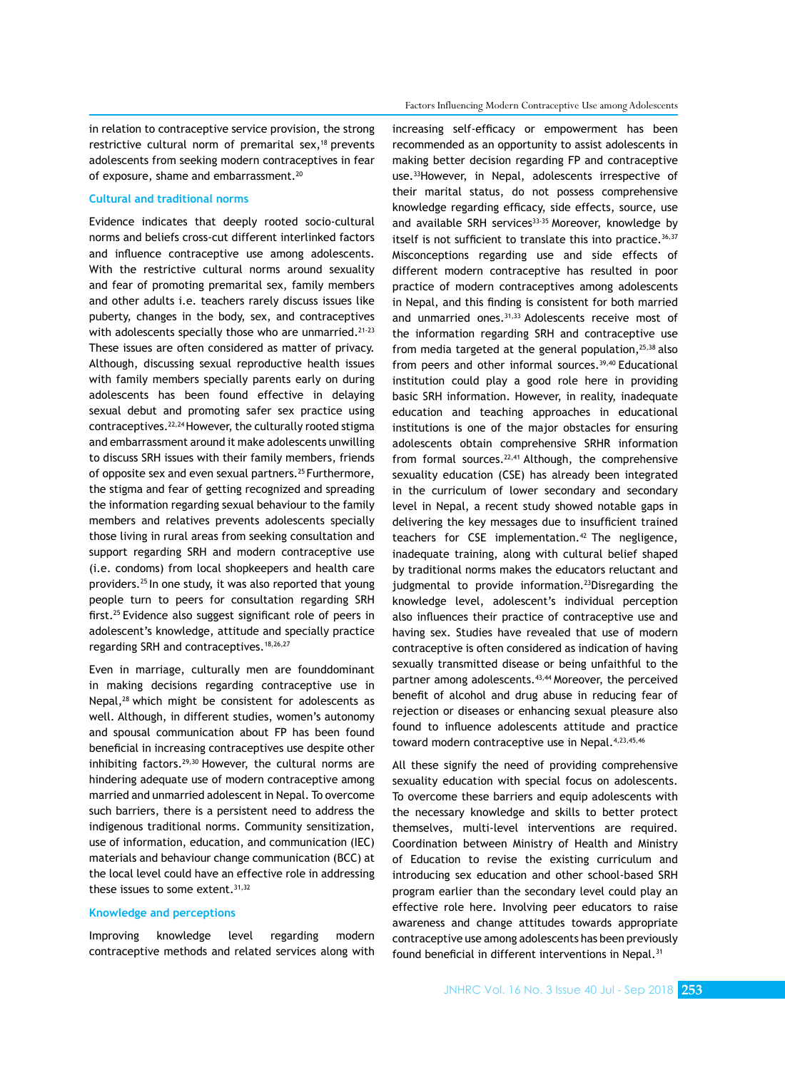in relation to contraceptive service provision, the strong restrictive cultural norm of premarital sex,<sup>18</sup> prevents adolescents from seeking modern contraceptives in fear of exposure, shame and embarrassment.<sup>20</sup>

## **Cultural and traditional norms**

Evidence indicates that deeply rooted socio-cultural norms and beliefs cross-cut different interlinked factors and influence contraceptive use among adolescents. With the restrictive cultural norms around sexuality and fear of promoting premarital sex, family members and other adults i.e. teachers rarely discuss issues like puberty, changes in the body, sex, and contraceptives with adolescents specially those who are unmarried.<sup>21-23</sup> These issues are often considered as matter of privacy. Although, discussing sexual reproductive health issues with family members specially parents early on during adolescents has been found effective in delaying sexual debut and promoting safer sex practice using contraceptives.22,24 However, the culturally rooted stigma and embarrassment around it make adolescents unwilling to discuss SRH issues with their family members, friends of opposite sex and even sexual partners.<sup>25</sup> Furthermore, the stigma and fear of getting recognized and spreading the information regarding sexual behaviour to the family members and relatives prevents adolescents specially those living in rural areas from seeking consultation and support regarding SRH and modern contraceptive use (i.e. condoms) from local shopkeepers and health care providers.<sup>25</sup> In one study, it was also reported that young people turn to peers for consultation regarding SRH first.<sup>25</sup> Evidence also suggest significant role of peers in adolescent's knowledge, attitude and specially practice regarding SRH and contraceptives.<sup>18,26,27</sup>

Even in marriage, culturally men are founddominant in making decisions regarding contraceptive use in Nepal, $28$  which might be consistent for adolescents as well. Although, in different studies, women's autonomy and spousal communication about FP has been found beneficial in increasing contraceptives use despite other inhibiting factors.<sup>29,30</sup> However, the cultural norms are hindering adequate use of modern contraceptive among married and unmarried adolescent in Nepal. To overcome such barriers, there is a persistent need to address the indigenous traditional norms. Community sensitization, use of information, education, and communication (IEC) materials and behaviour change communication (BCC) at the local level could have an effective role in addressing these issues to some extent.31,32

## **Knowledge and perceptions**

Improving knowledge level regarding modern contraceptive methods and related services along with

increasing self-efficacy or empowerment has been recommended as an opportunity to assist adolescents in making better decision regarding FP and contraceptive use.<sup>33</sup>However, in Nepal, adolescents irrespective of their marital status, do not possess comprehensive knowledge regarding efficacy, side effects, source, use and available SRH services<sup>33-35</sup> Moreover, knowledge by itself is not sufficient to translate this into practice.  $36,37$ Misconceptions regarding use and side effects of different modern contraceptive has resulted in poor practice of modern contraceptives among adolescents in Nepal, and this finding is consistent for both married and unmarried ones.<sup>31,33</sup> Adolescents receive most of the information regarding SRH and contraceptive use from media targeted at the general population, $25,38$  also from peers and other informal sources.<sup>39,40</sup> Educational institution could play a good role here in providing basic SRH information. However, in reality, inadequate education and teaching approaches in educational institutions is one of the major obstacles for ensuring adolescents obtain comprehensive SRHR information from formal sources. $22,41$  Although, the comprehensive sexuality education (CSE) has already been integrated in the curriculum of lower secondary and secondary level in Nepal, a recent study showed notable gaps in delivering the key messages due to insufficient trained teachers for CSE implementation.<sup>42</sup> The negligence, inadequate training, along with cultural belief shaped by traditional norms makes the educators reluctant and judgmental to provide information.<sup>23</sup>Disregarding the knowledge level, adolescent's individual perception also influences their practice of contraceptive use and having sex. Studies have revealed that use of modern contraceptive is often considered as indication of having sexually transmitted disease or being unfaithful to the partner among adolescents.<sup>43,44</sup> Moreover, the perceived benefit of alcohol and drug abuse in reducing fear of rejection or diseases or enhancing sexual pleasure also found to influence adolescents attitude and practice toward modern contraceptive use in Nepal. 4,23,45,46

All these signify the need of providing comprehensive sexuality education with special focus on adolescents. To overcome these barriers and equip adolescents with the necessary knowledge and skills to better protect themselves, multi-level interventions are required. Coordination between Ministry of Health and Ministry of Education to revise the existing curriculum and introducing sex education and other school-based SRH program earlier than the secondary level could play an effective role here. Involving peer educators to raise awareness and change attitudes towards appropriate contraceptive use among adolescents has been previously found beneficial in different interventions in Nepal.<sup>31</sup>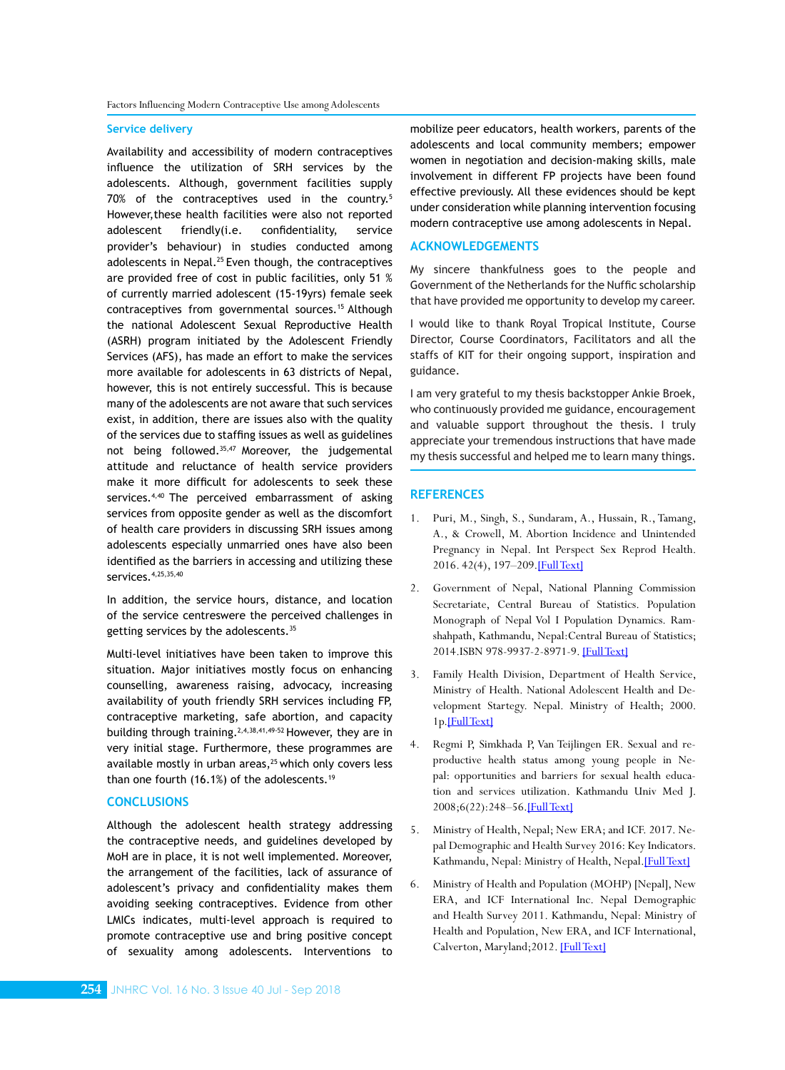Factors Influencing Modern Contraceptive Use among Adolescents

## **Service delivery**

Availability and accessibility of modern contraceptives influence the utilization of SRH services by the adolescents. Although, government facilities supply 70% of the contraceptives used in the country.<sup>5</sup> However,these health facilities were also not reported adolescent friendly(i.e. confidentiality, service provider's behaviour) in studies conducted among adolescents in Nepal.<sup>25</sup> Even though, the contraceptives are provided free of cost in public facilities, only 51 % of currently married adolescent (15-19yrs) female seek contraceptives from governmental sources.<sup>15</sup> Although the national Adolescent Sexual Reproductive Health (ASRH) program initiated by the Adolescent Friendly Services (AFS), has made an effort to make the services more available for adolescents in 63 districts of Nepal, however, this is not entirely successful. This is because many of the adolescents are not aware that such services exist, in addition, there are issues also with the quality of the services due to staffing issues as well as guidelines not being followed.<sup>35,47</sup> Moreover, the judgemental attitude and reluctance of health service providers make it more difficult for adolescents to seek these services.<sup>4,40</sup> The perceived embarrassment of asking services from opposite gender as well as the discomfort of health care providers in discussing SRH issues among adolescents especially unmarried ones have also been identified as the barriers in accessing and utilizing these services.4,25,35,40

In addition, the service hours, distance, and location of the service centreswere the perceived challenges in getting services by the adolescents.<sup>35</sup>

Multi-level initiatives have been taken to improve this situation. Major initiatives mostly focus on enhancing counselling, awareness raising, advocacy, increasing availability of youth friendly SRH services including FP, contraceptive marketing, safe abortion, and capacity building through training.<sup>2,4,38,41,49-52</sup> However, they are in very initial stage. Furthermore, these programmes are available mostly in urban areas, $25$  which only covers less than one fourth (16.1%) of the adolescents.<sup>19</sup>

# **CONCLUSIONS**

Although the adolescent health strategy addressing the contraceptive needs, and guidelines developed by MoH are in place, it is not well implemented. Moreover, the arrangement of the facilities, lack of assurance of adolescent's privacy and confidentiality makes them avoiding seeking contraceptives. Evidence from other LMICs indicates, multi-level approach is required to promote contraceptive use and bring positive concept of sexuality among adolescents. Interventions to

mobilize peer educators, health workers, parents of the adolescents and local community members; empower women in negotiation and decision-making skills, male involvement in different FP projects have been found effective previously. All these evidences should be kept under consideration while planning intervention focusing modern contraceptive use among adolescents in Nepal.

## **ACKNOWLEDGEMENTS**

My sincere thankfulness goes to the people and Government of the Netherlands for the Nuffic scholarship that have provided me opportunity to develop my career.

I would like to thank Royal Tropical Institute, Course Director, Course Coordinators, Facilitators and all the staffs of KIT for their ongoing support, inspiration and guidance.

I am very grateful to my thesis backstopper Ankie Broek, who continuously provided me guidance, encouragement and valuable support throughout the thesis. I truly appreciate your tremendous instructions that have made my thesis successful and helped me to learn many things.

# **REFERENCES**

- 1. Puri, M., Singh, S., Sundaram, A., Hussain, R., Tamang, A., & Crowell, M. Abortion Incidence and Unintended Pregnancy in Nepal. Int Perspect Sex Reprod Health. 2016. 42(4), 197–209[.\[Full Text\]](https://www.ncbi.nlm.nih.gov/pmc/articles/PMC5568822/pdf/nihms863971.pdf)
- 2. Government of Nepal, National Planning Commission Secretariate, Central Bureau of Statistics. Population Monograph of Nepal Vol I Population Dynamics. Ramshahpath, Kathmandu, Nepal:Central Bureau of Statistics; 2014.ISBN 978-9937-2-8971-9. [\[Full Text\]](http://cbs.gov.np/image/data/Population/Population%20Monograph%20of%20Nepal%202014/Population%20Monograph%20of%20Nepal%202014%20Volume%20I%20FinalPrintReady1.pdf)
- 3. Family Health Division, Department of Health Service, Ministry of Health. National Adolescent Health and Development Startegy. Nepal. Ministry of Health; 2000. 1p.[\[Full Text\]](http://www.mohp.gov.np/app/webroot/upload/files/Adolescent%20Health%20Strategy.pdf)
- 4. Regmi P, Simkhada P, Van Teijlingen ER. Sexual and reproductive health status among young people in Nepal: opportunities and barriers for sexual health education and services utilization. Kathmandu Univ Med J. 2008;6(22):248–56.[\[Full Text\]](http://eprints.bournemouth.ac.uk/10147/1/KMUJ_Pramod_Sex_Reproductive_2008.pdf)
- 5. Ministry of Health, Nepal; New ERA; and ICF. 2017. Nepal Demographic and Health Survey 2016: Key Indicators. Kathmandu, Nepal: Ministry of Health, Nepal.[\[Full Text\]](https://www.dhsprogram.com/pubs/pdf/fr336/fr336.pdf)
- 6. Ministry of Health and Population (MOHP) [Nepal], New ERA, and ICF International Inc. Nepal Demographic and Health Survey 2011. Kathmandu, Nepal: Ministry of Health and Population, New ERA, and ICF International, Calverton, Maryland;2012. [\[Full Text\]](https://dhsprogram.com/pubs/pdf/FR257/FR257%5b13April2012%5d.pdf)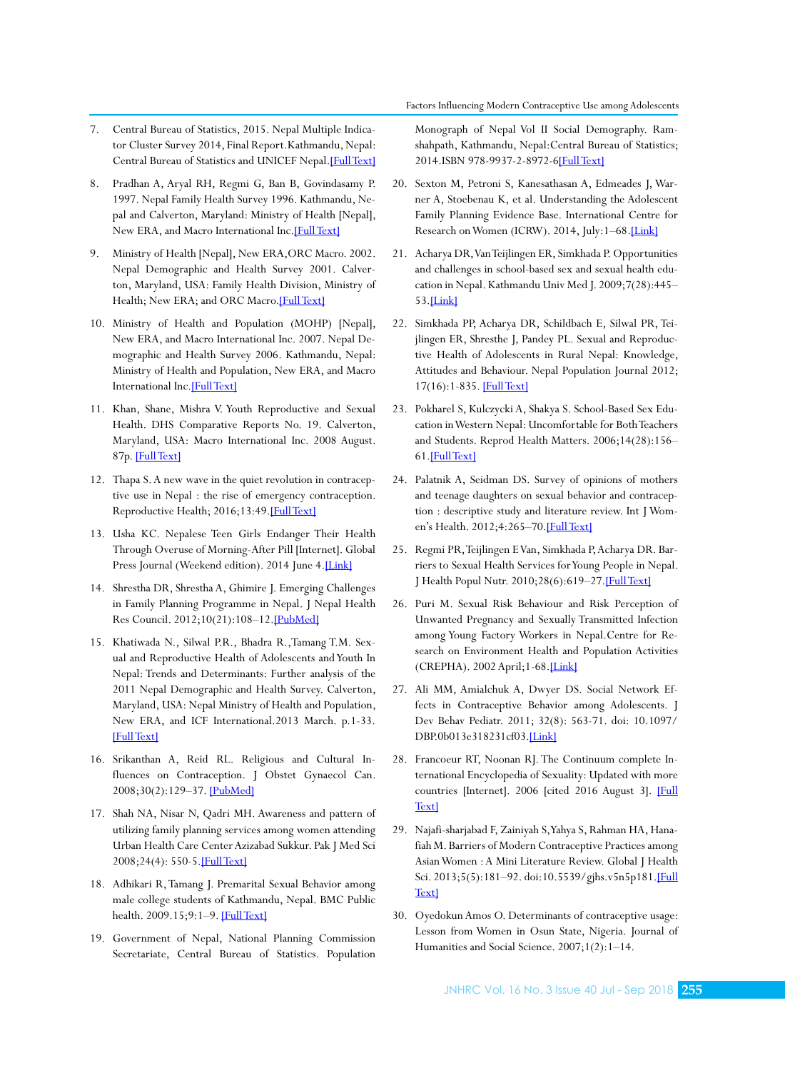- 7. Central Bureau of Statistics, 2015. Nepal Multiple Indicator Cluster Survey 2014, Final Report.Kathmandu, Nepal: Central Bureau of Statistics and UNICEF Nepal. [Full Text]
- 8. Pradhan A, Aryal RH, Regmi G, Ban B, Govindasamy P. 1997. Nepal Family Health Survey 1996. Kathmandu, Nepal and Calverton, Maryland: Ministry of Health [Nepal], New ERA, and Macro International Inc. [\[Full Text\]](https://dhsprogram.com/pubs/pdf/fr78/fr78.pdf)
- 9. Ministry of Health [Nepal], New ERA,ORC Macro. 2002. Nepal Demographic and Health Survey 2001. Calverton, Maryland, USA: Family Health Division, Ministry of Health; New ERA; and ORC Macro.[\[Full Text\]](https://dhsprogram.com/pubs/pdf/fr132/fr132.pdf)
- 10. Ministry of Health and Population (MOHP) [Nepal], New ERA, and Macro International Inc. 2007. Nepal Demographic and Health Survey 2006. Kathmandu, Nepal: Ministry of Health and Population, New ERA, and Macro International Inc[.\[Full Text\]](https://dhsprogram.com/pubs/pdf/FR191/FR191.pdf)
- 11. Khan, Shane, Mishra V. Youth Reproductive and Sexual Health. DHS Comparative Reports No. 19. Calverton, Maryland, USA: Macro International Inc. 2008 August. 87p. [\[Full Text\]](https://dhsprogram.com/pubs/pdf/cr19/cr19.pdf)
- 12. Thapa S. A new wave in the quiet revolution in contraceptive use in Nepal : the rise of emergency contraception. Reproductive Health; 2016;13:49.[\[Full Text\]](https://www.ncbi.nlm.nih.gov/pmc/articles/PMC4855319/pdf/12978_2016_Article_155.pdf)
- 13. Usha KC. Nepalese Teen Girls Endanger Their Health Through Overuse of Morning-After Pill [Internet]. Global Press Journal (Weekend edition). 2014 June 4. [Link]
- 14. Shrestha DR, Shrestha A, Ghimire J. Emerging Challenges in Family Planning Programme in Nepal. J Nepal Health Res Council. 2012;10(21):108–12.[\[PubMed\]](https://www.ncbi.nlm.nih.gov/pubmed/23034371)
- 15. Khatiwada N., Silwal P.R., Bhadra R.,Tamang T.M. Sexual and Reproductive Health of Adolescents and Youth In Nepal: Trends and Determinants: Further analysis of the 2011 Nepal Demographic and Health Survey. Calverton, Maryland, USA: Nepal Ministry of Health and Population, New ERA, and ICF International.2013 March. p.1-33. [\[Full Text\]](https://dhsprogram.com/pubs/pdf/FA76/FA76.pdf)
- 16. Srikanthan A, Reid RL. Religious and Cultural Influences on Contraception. J Obstet Gynaecol Can. 2008;30(2):129–37. [\[PubMed\]](https://www.ncbi.nlm.nih.gov/pubmed/?term=Srikanthan+A%2C+Reid+RL.+Religious+and+Cultural+Influences+on+Contraception.+Journal+of+Obstetrics+and+Gynaecology+Canada+2008+Feb%3B30(2)%3A129�37.)
- 17. Shah NA, Nisar N, Qadri MH. Awareness and pattern of utilizing family planning services among women attending Urban Health Care Center Azizabad Sukkur. Pak J Med Sci 2008;24(4): 550-5.[\[Full Text\]](https://www.pjms.com.pk/issues/julsep08/pdf/awareness.pdf)
- 18. Adhikari R, Tamang J. Premarital Sexual Behavior among male college students of Kathmandu, Nepal. BMC Public health. 2009.15;9:1-9. [\[Full Text\]](https://www.ncbi.nlm.nih.gov/pmc/articles/PMC2717085/pdf/1471-2458-9-241.pdf)
- 19. Government of Nepal, National Planning Commission Secretariate, Central Bureau of Statistics. Population

Monograph of Nepal Vol II Social Demography. Ramshahpath, Kathmandu, Nepal:Central Bureau of Statistics; 2014.ISBN 978-9937-2-8972-6[\[Full Text\]](http://cbs.gov.np/image/data/Population/Population%20Monograph%20of%20Nepal%202014/Population%20Monograph%20V02.pdf)

- 20. Sexton M, Petroni S, Kanesathasan A, Edmeades J, Warner A, Stoebenau K, et al. Understanding the Adolescent Family Planning Evidence Base. International Centre for Research on Women (ICRW). 2014, July:1-68[.\[Link\]](https://www.popline.org/node/624039)
- 21. Acharya DR, Van Teijlingen ER, Simkhada P. Opportunities and challenges in school-based sex and sexual health education in Nepal. Kathmandu Univ Med J. 2009;7(28):445– 53.[\[Link\]](https://www.ncbi.nlm.nih.gov/pubmed/?term=Opportunities+and+challenges+in+school-based+sex+and+sexual+health+education+in+Nepal)
- 22. Simkhada PP, Acharya DR, Schildbach E, Silwal PR, Teijlingen ER, Shresthe J, Pandey PL. Sexual and Reproductive Health of Adolescents in Rural Nepal: Knowledge, Attitudes and Behaviour. Nepal Population Journal 2012; 17(16):1-835. [\[Full Text\]](http://eprints.bournemouth.ac.uk/20609/3/Simkhada%20et%20al%20GFA%20study%202012%20%20PAN.pdf)
- 23. Pokharel S, Kulczycki A, Shakya S. School-Based Sex Education in Western Nepal: Uncomfortable for Both Teachers and Students. Reprod Health Matters. 2006;14(28):156– 61.[\[Full Text\]](https://www.tandfonline.com/doi/full/10.1016/S0968-8080(06)28255-7)
- 24. Palatnik A, Seidman DS. Survey of opinions of mothers and teenage daughters on sexual behavior and contraception : descriptive study and literature review. Int J Wom-en's Health. 2012;4:265-70[.\[Full Text\]](https://www.ncbi.nlm.nih.gov/pmc/articles/PMC3393135/pdf/ijwh-4-265.pdf)
- 25. Regmi PR, Teijlingen E Van, Simkhada P, Acharya DR. Barriers to Sexual Health Services for Young People in Nepal. J Health Popul Nutr. 2010;28(6):619–27[.\[Full Text\]](https://www.ncbi.nlm.nih.gov/pmc/articles/PMC2995031/pdf/jhpn0028-0619.pdf)
- 26. Puri M. Sexual Risk Behaviour and Risk Perception of Unwanted Pregnancy and Sexually Transmitted Infection among Young Factory Workers in Nepal.Centre for Research on Environment Health and Population Activities (CREPHA). 2002 April;1-68[.\[Link\]](http://library.nhrc.gov.np:8080/nhrc/handle/123456789/329)
- 27. Ali MM, Amialchuk A, Dwyer DS. Social Network Effects in Contraceptive Behavior among Adolescents. J Dev Behav Pediatr. 2011; 32(8): 563-71. doi: 10.1097/ DBP.0b013e318231cf03.[\[Link\]](https://www.ncbi.nlm.nih.gov/pubmed/21918469)
- 28. Francoeur RT, Noonan RJ. The Continuum complete International Encyclopedia of Sexuality: Updated with more countries [Internet]. 2006 [cited 2016 August 3]. [\[Full](https://kinseyinstitute.org/pdf/ccies-nepal.pdf)  **Text**
- 29. Najafi-sharjabad F, Zainiyah S, Yahya S, Rahman HA, Hanafiah M. Barriers of Modern Contraceptive Practices among Asian Women : A Mini Literature Review. Global J Health Sci. 2013;5(5):181–92. doi:10.5539/gjhs.v5n5p181[.\[Full](https://www.ncbi.nlm.nih.gov/pmc/articles/PMC4776867/pdf/GJHS-5-181.pdf)  [Text\]](https://www.ncbi.nlm.nih.gov/pmc/articles/PMC4776867/pdf/GJHS-5-181.pdf)
- 30. Oyedokun Amos O. Determinants of contraceptive usage: Lesson from Women in Osun State, Nigeria. Journal of Humanities and Social Science. 2007;1(2):1–14.